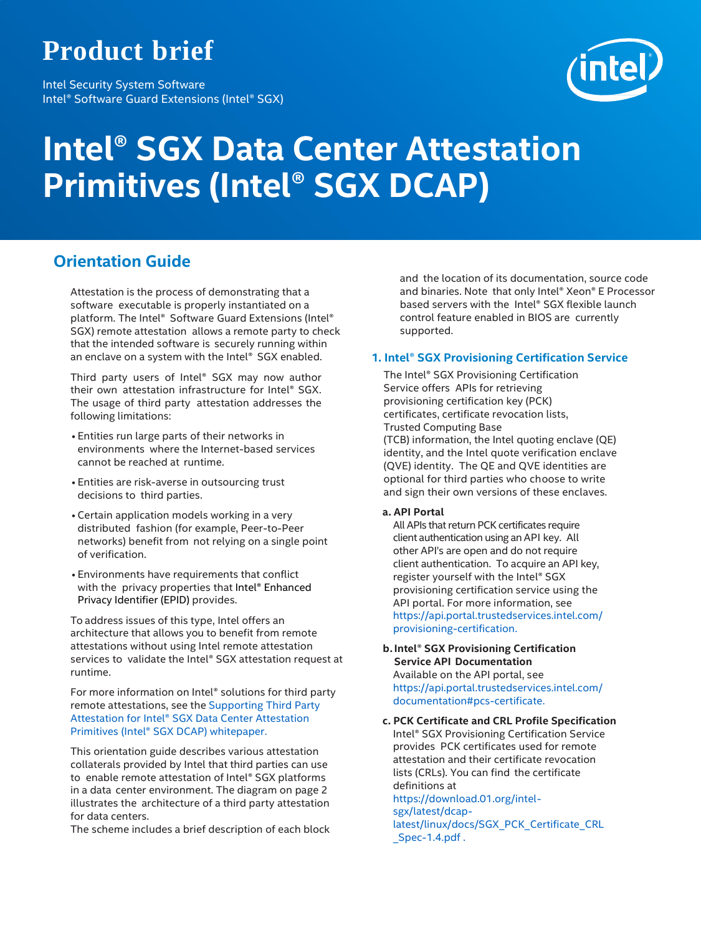## **Product brief**

Intel Security System Software Intel® Software Guard Extensions (Intel® SGX)



# **Intel® SGX Data Center Attestation Primitives (Intel® SGX DCAP)**

### **Orientation Guide**

Attestation is the process of demonstrating that a software executable is properly instantiated on a platform. The Intel® Software Guard Extensions (Intel® SGX) remote attestation allows a remote party to check that the intended software is securely running within an enclave on a system with the Intel® SGX enabled.

Third party users of Intel® SGX may now author their own attestation infrastructure for Intel® SGX. The usage of third party attestation addresses the following limitations:

- Entities run large parts of their networks in environments where the Internet-based services cannot be reached at runtime.
- Entities are risk-averse in outsourcing trust decisions to third parties.
- Certain application models working in a very distributed fashion (for example, Peer-to-Peer networks) benefit from not relying on a single point of verification.
- Environments have requirements that conflict with the privacy properties that Intel® Enhanced Privacy Identifier (EPID) provides.

To address issues of this type, Intel offers an architecture that allows you to benefit from remote attestations without using Intel remote attestation services to validate the Intel® SGX attestation request at runtime.

For more information on Intel® solutions for third party remote attestations, see the [Supporting](https://software.intel.com/sites/default/files/managed/f1/b8/intel-sgx-support-for-third-party-attestation.pdf) Third Party Attestation for Intel® SGX Data [Center Attestation](https://software.intel.com/sites/default/files/managed/f1/b8/intel-sgx-support-for-third-party-attestation.pdf) Primitives (Intel® SGX [DCAP\) whitepaper.](https://software.intel.com/sites/default/files/managed/f1/b8/intel-sgx-support-for-third-party-attestation.pdf)

This orientation guide describes various attestation collaterals provided by Intel that third parties can use to enable remote attestation of Intel® SGX platforms in a data center environment. The diagram on page 2 illustrates the architecture of a third party attestation for data centers.

The scheme includes a brief description of each block

and the location of its documentation, source code and binaries. Note that only Intel® Xeon® E Processor based servers with the Intel® SGX flexible launch control feature enabled in BIOS are currently supported.

#### **1. Intel® SGX Provisioning Certification Service**

The Intel® SGX Provisioning Certification Service offers APIs for retrieving provisioning certification key (PCK) certificates, certificate revocation lists, Trusted Computing Base (TCB) information, the Intel quoting enclave (QE) identity, and the Intel quote verification enclave (QVE) identity. The QE and QVE identities are optional for third parties who choose to write and sign their own versions of these enclaves.

#### **a. API Portal**

All APIs that return PCK certificates require client authentication using an API key. All other API's are open and do not require client authentication. To acquire an API key, register yourself with the Intel® SGX provisioning certification service using the API portal. For more information, see [https://api.portal.trustedservices.intel.com/](https://api.portal.trustedservices.intel.com/provisioning-certification) [provisioning-certification.](https://api.portal.trustedservices.intel.com/provisioning-certification)

**b.Intel® SGX Provisioning Certification Service API Documentation** Available on the API portal, see [https://api.portal.trustedservices.intel.com/](https://api.portal.trustedservices.intel.com/documentation#pcs-certificate) [documentation#pcs-certificate.](https://api.portal.trustedservices.intel.com/documentation#pcs-certificate)

**c. PCK Certificate and CRL Profile Specification** Intel® SGX Provisioning Certification Service provides PCK certificates used for remote attestation and their certificate revocation lists (CRLs). You can find the certificate definitions at [https://download.01.org/intel](https://download.01.org/intel-sgx/latest/dcap-latest/linux/docs/SGX_PCK_Certificate_CRL_Spec-1.4.pdf)[sgx/latest/dcap](https://download.01.org/intel-sgx/latest/dcap-latest/linux/docs/SGX_PCK_Certificate_CRL_Spec-1.4.pdf)[latest/linux/docs/SGX\\_PCK\\_Certificate\\_CRL](https://download.01.org/intel-sgx/latest/dcap-latest/linux/docs/SGX_PCK_Certificate_CRL_Spec-1.4.pdf) [\\_Spec-1.4.pdf](https://download.01.org/intel-sgx/latest/dcap-latest/linux/docs/SGX_PCK_Certificate_CRL_Spec-1.4.pdf) .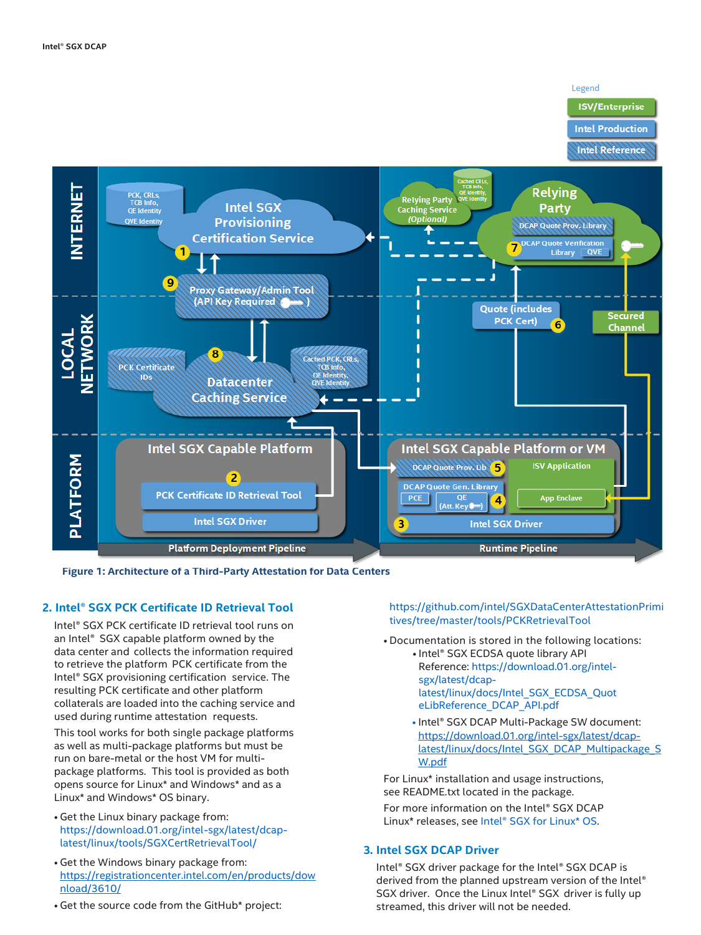#### Legend

#### **ISV/Enterprise**

**Intel Production** 

**Intel Reference** 



**Figure 1: Architecture of a Third-Party Attestation for Data Centers**

#### **2. Intel® SGX PCK Certificate ID Retrieval Tool**

Intel® SGX PCK certificate ID retrieval tool runs on an Intel® SGX capable platform owned by the data center and collects the information required to retrieve the platform PCK certificate from the Intel® SGX provisioning certification service. The resulting PCK certificate and other platform collaterals are loaded into the caching service and used during runtime attestation requests.

This tool works for both single package platforms as well as multi-package platforms but must be run on bare-metal or the host VM for multipackage platforms. This tool is provided as both opens source for Linux\* and Windows\* and as a Linux\* and Windows\* OS binary.

- Get the Linux binary package from: [https://download.01.org/intel-sgx/latest/dcap](https://download.01.org/intel-sgx/latest/dcap-latest/linux/tools/SGXCertRetrievalTool/)[latest/linux/tools/SGXCertRetrievalTool/](https://download.01.org/intel-sgx/latest/dcap-latest/linux/tools/SGXCertRetrievalTool/)
- Get the Windows binary package from: [https://registrationcenter.intel.com/en/products/dow](https://registrationcenter.intel.com/en/products/download/3610/) [nload/3610/](https://registrationcenter.intel.com/en/products/download/3610/)
- Get the source code from the GitHub\* project:

[https://github.com/intel/SGXDataCenterAttestationPrimi](https://github.com/intel/SGXDataCenterAttestationPrimitives/tree/master/tools/PCKRetrievalTool) [tives/tree/master/tools/PCKRetrievalTool](https://github.com/intel/SGXDataCenterAttestationPrimitives/tree/master/tools/PCKRetrievalTool)

• Documentation is stored in the following locations: • Intel® SGX ECDSA quote library API Reference: [https://download.01.org/intel](https://download.01.org/intel-sgx/latest/dcap-latest/linux/docs/Intel_SGX_ECDSA_QuoteLibReference_DCAP_API.pdf)[sgx/latest/dcap](https://download.01.org/intel-sgx/latest/dcap-latest/linux/docs/Intel_SGX_ECDSA_QuoteLibReference_DCAP_API.pdf)[latest/linux/docs/Intel\\_SGX\\_ECDSA\\_Quot](https://download.01.org/intel-sgx/latest/dcap-latest/linux/docs/Intel_SGX_ECDSA_QuoteLibReference_DCAP_API.pdf)

> [eLibReference\\_DCAP\\_API.pdf](https://download.01.org/intel-sgx/latest/dcap-latest/linux/docs/Intel_SGX_ECDSA_QuoteLibReference_DCAP_API.pdf) • Intel® SGX DCAP Multi-Package SW document: [https://download.01.org/intel-sgx/latest/dcap-](https://download.01.org/intel-sgx/latest/dcap-latest/linux/docs/Intel_SGX_DCAP_Multipackage_SW.pdf)

[latest/linux/docs/Intel\\_SGX\\_DCAP\\_Multipackage\\_S](https://download.01.org/intel-sgx/latest/dcap-latest/linux/docs/Intel_SGX_DCAP_Multipackage_SW.pdf)

[W.pdf](https://download.01.org/intel-sgx/latest/dcap-latest/linux/docs/Intel_SGX_DCAP_Multipackage_SW.pdf) For Linux\* installation and usage instructions, see README.txt located in the package.

For more information on the Intel® SGX DCAP Linux\* releases, see [Intel® SGX](https://01.org/intel-software-guard-extensions/downloads) for Linux\* OS.

#### **3. Intel SGX DCAP Driver**

Intel® SGX driver package for the Intel® SGX DCAP is derived from the planned upstream version of the Intel® SGX driver. Once the Linux Intel® SGX driver is fully up streamed, this driver will not be needed.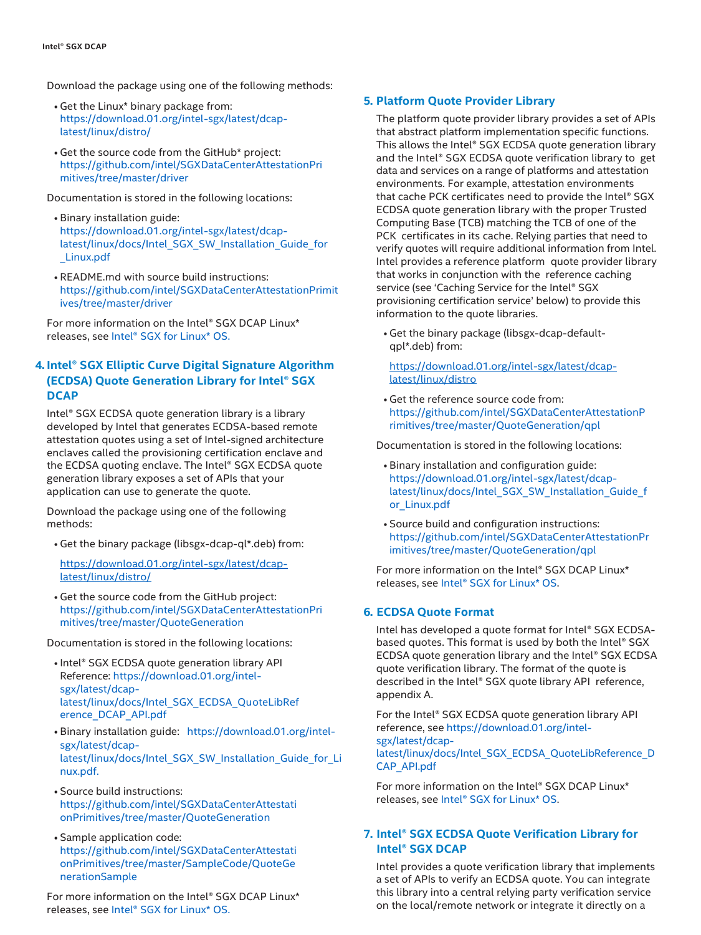Download the package using one of the following methods:

- Get the Linux\* binary package from: [https://download.01.org/intel-sgx/latest/dcap](https://download.01.org/intel-sgx/latest/dcap-latest/linux/distro/)[latest/linux/distro/](https://download.01.org/intel-sgx/latest/dcap-latest/linux/distro/)
- Get the source code from the GitHub\* project: [https://github.com/intel/SGXDataCenterAttestationPri](https://github.com/intel/SGXDataCenterAttestationPrimitives/tree/master/driver) [mitives/tree/master/driver](https://github.com/intel/SGXDataCenterAttestationPrimitives/tree/master/driver)

Documentation is stored in the following locations:

- Binary installation guide: [https://download.01.org/intel-sgx/latest/dcap](https://download.01.org/intel-sgx/latest/dcap-latest/linux/docs/Intel_SGX_SW_Installation_Guide_for_Linux.pdf)[latest/linux/docs/Intel\\_SGX\\_SW\\_Installation\\_Guide\\_for](https://download.01.org/intel-sgx/latest/dcap-latest/linux/docs/Intel_SGX_SW_Installation_Guide_for_Linux.pdf) [\\_Linux.pdf](https://download.01.org/intel-sgx/latest/dcap-latest/linux/docs/Intel_SGX_SW_Installation_Guide_for_Linux.pdf)
- README.md with source build instructions: [https://github.com/intel/SGXDataCenterAttestationPrimit](https://github.com/intel/SGXDataCenterAttestationPrimitives/tree/master/driver) [ives/tree/master/driver](https://github.com/intel/SGXDataCenterAttestationPrimitives/tree/master/driver)

For more information on the Intel® SGX DCAP Linux\* releases, see Intel® SGX for [Linux\\*](https://01.org/intel-software-guard-extensions/downloads) OS.

#### **4. Intel® SGX Elliptic Curve Digital Signature Algorithm (ECDSA) Quote Generation Library for Intel® SGX DCAP**

Intel® SGX ECDSA quote generation library is a library developed by Intel that generates ECDSA-based remote attestation quotes using a set of Intel-signed architecture enclaves called the provisioning certification enclave and the ECDSA quoting enclave. The Intel® SGX ECDSA quote generation library exposes a set of APIs that your application can use to generate the quote.

Download the package using one of the following methods:

• Get the binary package (libsgx-dcap-ql\*.deb) from:

[https://download.01.org/intel-sgx/latest/dcap](https://download.01.org/intel-sgx/latest/dcap-latest/linux/distro/)[latest/linux/distro/](https://download.01.org/intel-sgx/latest/dcap-latest/linux/distro/)

• Get the source code from the GitHub project: [https://github.com/intel/SGXDataCenterAttestationPri](https://github.com/intel/SGXDataCenterAttestationPrimitives/tree/master/QuoteGeneration) [mitives/tree/master/QuoteGeneration](https://github.com/intel/SGXDataCenterAttestationPrimitives/tree/master/QuoteGeneration)

Documentation is stored in the following locations:

- Intel® SGX ECDSA quote generation library API Reference: [https://download.01.org/intel](https://download.01.org/intel-sgx/latest/dcap-latest/linux/docs/Intel_SGX_ECDSA_QuoteLibReference_DCAP_API.pdf)[sgx/latest/dcap](https://download.01.org/intel-sgx/latest/dcap-latest/linux/docs/Intel_SGX_ECDSA_QuoteLibReference_DCAP_API.pdf)[latest/linux/docs/Intel\\_SGX\\_ECDSA\\_QuoteLibRef](https://download.01.org/intel-sgx/latest/dcap-latest/linux/docs/Intel_SGX_ECDSA_QuoteLibReference_DCAP_API.pdf) [erence\\_DCAP\\_API.pdf](https://download.01.org/intel-sgx/latest/dcap-latest/linux/docs/Intel_SGX_ECDSA_QuoteLibReference_DCAP_API.pdf)
- Binary installation guide: [https://download.01.org/intel](https://download.01.org/intel-sgx/latest/dcap-latest/linux/docs/Intel_SGX_SW_Installation_Guide_for_Linux.pdf)[sgx/latest/dcap](https://download.01.org/intel-sgx/latest/dcap-latest/linux/docs/Intel_SGX_SW_Installation_Guide_for_Linux.pdf)[latest/linux/docs/Intel\\_SGX\\_SW\\_Installation\\_Guide\\_for\\_Li](https://download.01.org/intel-sgx/latest/dcap-latest/linux/docs/Intel_SGX_SW_Installation_Guide_for_Linux.pdf) [nux.pdf.](https://download.01.org/intel-sgx/latest/dcap-latest/linux/docs/Intel_SGX_SW_Installation_Guide_for_Linux.pdf)
- Source build instructions: [https://github.com/intel/SGXDataCenterAttestati](https://github.com/intel/SGXDataCenterAttestationPrimitives/tree/master/QuoteGeneration) [onPrimitives/tree/master/QuoteGeneration](https://github.com/intel/SGXDataCenterAttestationPrimitives/tree/master/QuoteGeneration)
- Sample application code: [https://github.com/intel/SGXDataCenterAttestati](https://github.com/intel/SGXDataCenterAttestationPrimitives/tree/master/SampleCode/QuoteGenerationSample) [onPrimitives/tree/master/SampleCode/QuoteGe](https://github.com/intel/SGXDataCenterAttestationPrimitives/tree/master/SampleCode/QuoteGenerationSample) [nerationSample](https://github.com/intel/SGXDataCenterAttestationPrimitives/tree/master/SampleCode/QuoteGenerationSample)

For more information on the Intel® SGX DCAP Linux\* releases, see Intel® SGX for [Linux\\*](https://01.org/intel-software-guard-extensions/downloads) OS.

#### **5. Platform Quote Provider Library**

The platform quote provider library provides a set of APIs that abstract platform implementation specific functions. This allows the Intel® SGX ECDSA quote generation library and the Intel® SGX ECDSA quote verification library to get data and services on a range of platforms and attestation environments. For example, attestation environments that cache PCK certificates need to provide the Intel® SGX ECDSA quote generation library with the proper Trusted Computing Base (TCB) matching the TCB of one of the PCK certificates in its cache. Relying parties that need to verify quotes will require additional information from Intel. Intel provides a reference platform quote provider library that works in conjunction with the reference caching service (see 'Caching Service for the Intel® SGX provisioning certification service' below) to provide this information to the quote libraries.

• Get the binary package (libsgx-dcap-defaultqpl\*.deb) from:

[https://download.01.org/intel-sgx/latest/dcap](https://download.01.org/intel-sgx/latest/dcap-latest/linux/distro)[latest/linux/distro](https://download.01.org/intel-sgx/latest/dcap-latest/linux/distro)

• Get the reference source code from: [https://github.com/intel/SGXDataCenterAttestationP](https://github.com/intel/SGXDataCenterAttestationPrimitives/tree/master/QuoteGeneration/qpl) [rimitives/tree/master/QuoteGeneration/qpl](https://github.com/intel/SGXDataCenterAttestationPrimitives/tree/master/QuoteGeneration/qpl)

Documentation is stored in the following locations:

- Binary installation and configuration guide: [https://download.01.org/intel-sgx/latest/dcap](https://download.01.org/intel-sgx/latest/dcap-latest/linux/docs/Intel_SGX_SW_Installation_Guide_for_Linux.pdf)[latest/linux/docs/Intel\\_SGX\\_SW\\_Installation\\_Guide\\_f](https://download.01.org/intel-sgx/latest/dcap-latest/linux/docs/Intel_SGX_SW_Installation_Guide_for_Linux.pdf) [or\\_Linux.pdf](https://download.01.org/intel-sgx/latest/dcap-latest/linux/docs/Intel_SGX_SW_Installation_Guide_for_Linux.pdf)
- Source build and configuration instructions: [https://github.com/intel/SGXDataCenterAttestationPr](https://github.com/intel/SGXDataCenterAttestationPrimitives/tree/master/QuoteGeneration/qpl) [imitives/tree/master/QuoteGeneration/qpl](https://github.com/intel/SGXDataCenterAttestationPrimitives/tree/master/QuoteGeneration/qpl)

For more information on the Intel® SGX DCAP Linux\* releases, see Intel® SGX for [Linux\\*](https://01.org/intel-software-guard-extensions/downloads) OS.

#### **6. ECDSA Quote Format**

Intel has developed a quote format for Intel® SGX ECDSAbased quotes. This format is used by both the Intel® SGX ECDSA quote generation library and the Intel® SGX ECDSA quote verification library. The format of the quote is described in the Intel® SGX quote library API reference, appendix A.

For the Intel® SGX ECDSA quote generation library API reference, see [https://download.01.org/intel](https://download.01.org/intel-sgx/latest/dcap-latest/linux/docs/Intel_SGX_ECDSA_QuoteLibReference_DCAP_API.pdf)[sgx/latest/dcap](https://download.01.org/intel-sgx/latest/dcap-latest/linux/docs/Intel_SGX_ECDSA_QuoteLibReference_DCAP_API.pdf)[latest/linux/docs/Intel\\_SGX\\_ECDSA\\_QuoteLibReference\\_D](https://download.01.org/intel-sgx/latest/dcap-latest/linux/docs/Intel_SGX_ECDSA_QuoteLibReference_DCAP_API.pdf) [CAP\\_API.pdf](https://download.01.org/intel-sgx/latest/dcap-latest/linux/docs/Intel_SGX_ECDSA_QuoteLibReference_DCAP_API.pdf)

For more information on the Intel® SGX DCAP Linux\* releases, see Intel® SGX for [Linux\\*](https://01.org/intel-software-guard-extensions/downloads) OS.

#### **7. Intel® SGX ECDSA Quote Verification Library for Intel® SGX DCAP**

Intel provides a quote verification library that implements a set of APIs to verify an ECDSA quote. You can integrate this library into a central relying party verification service on the local/remote network or integrate it directly on a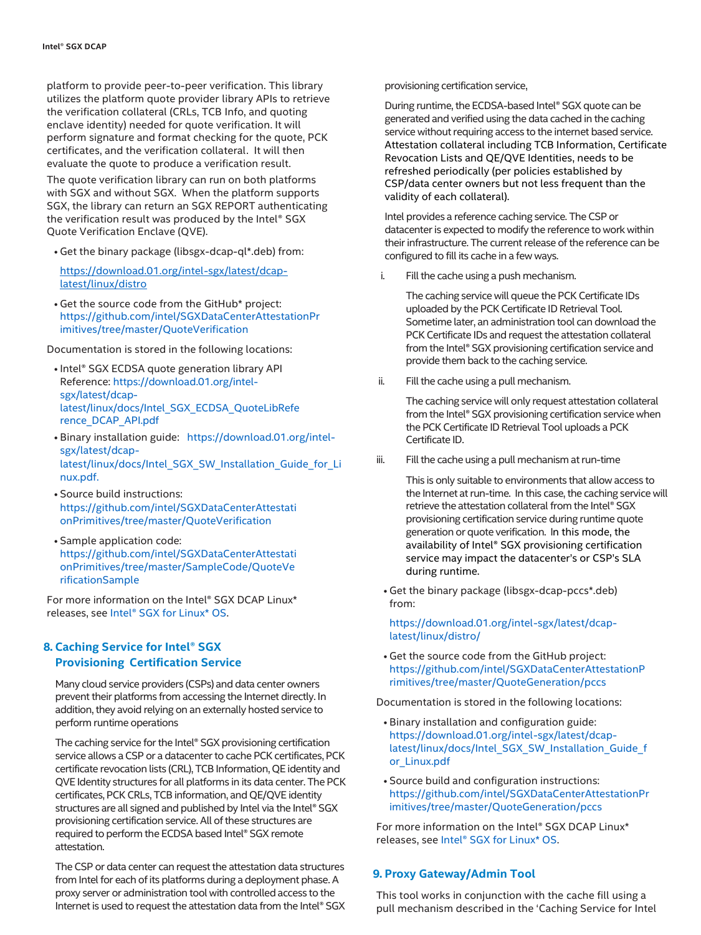platform to provide peer-to-peer verification. This library utilizes the platform quote provider library APIs to retrieve the verification collateral (CRLs, TCB Info, and quoting enclave identity) needed for quote verification. It will perform signature and format checking for the quote, PCK certificates, and the verification collateral. It will then evaluate the quote to produce a verification result.

The quote verification library can run on both platforms with SGX and without SGX. When the platform supports SGX, the library can return an SGX REPORT authenticating the verification result was produced by the Intel® SGX Quote Verification Enclave (QVE).

• Get the binary package (libsgx-dcap-ql\*.deb) from:

[https://download.01.org/intel-sgx/latest/dcap](https://download.01.org/intel-sgx/latest/dcap-latest/linux/distro)[latest/linux/distro](https://download.01.org/intel-sgx/latest/dcap-latest/linux/distro)

• Get the source code from the GitHub\* project: [https://github.com/intel/SGXDataCenterAttestationPr](https://github.com/intel/SGXDataCenterAttestationPrimitives/tree/master/QuoteVerification) [imitives/tree/master/QuoteVerification](https://github.com/intel/SGXDataCenterAttestationPrimitives/tree/master/QuoteVerification)

Documentation is stored in the following locations:

- Intel® SGX ECDSA quote generation library API Reference: [https://download.01.org/intel](https://download.01.org/intel-sgx/latest/dcap-latest/linux/docs/Intel_SGX_ECDSA_QuoteLibReference_DCAP_API.pdf)[sgx/latest/dcap](https://download.01.org/intel-sgx/latest/dcap-latest/linux/docs/Intel_SGX_ECDSA_QuoteLibReference_DCAP_API.pdf)[latest/linux/docs/Intel\\_SGX\\_ECDSA\\_QuoteLibRefe](https://download.01.org/intel-sgx/latest/dcap-latest/linux/docs/Intel_SGX_ECDSA_QuoteLibReference_DCAP_API.pdf) [rence\\_DCAP\\_API.pdf](https://download.01.org/intel-sgx/latest/dcap-latest/linux/docs/Intel_SGX_ECDSA_QuoteLibReference_DCAP_API.pdf)
- Binary installation guide: [https://download.01.org/intel](https://download.01.org/intel-sgx/latest/dcap-latest/linux/docs/Intel_SGX_SW_Installation_Guide_for_Linux.pdf)[sgx/latest/dcap](https://download.01.org/intel-sgx/latest/dcap-latest/linux/docs/Intel_SGX_SW_Installation_Guide_for_Linux.pdf)[latest/linux/docs/Intel\\_SGX\\_SW\\_Installation\\_Guide\\_for\\_Li](https://download.01.org/intel-sgx/latest/dcap-latest/linux/docs/Intel_SGX_SW_Installation_Guide_for_Linux.pdf) [nux.pdf.](https://download.01.org/intel-sgx/latest/dcap-latest/linux/docs/Intel_SGX_SW_Installation_Guide_for_Linux.pdf)
- Source build instructions: [https://github.com/intel/SGXDataCenterAttestati](https://github.com/intel/SGXDataCenterAttestationPrimitives/tree/master/QuoteVerification) [onPrimitives/tree/master/QuoteVerification](https://github.com/intel/SGXDataCenterAttestationPrimitives/tree/master/QuoteVerification)
- Sample application code: [https://github.com/intel/SGXDataCenterAttestati](https://github.com/intel/SGXDataCenterAttestationPrimitives/tree/master/SampleCode/QuoteVerificationSample) [onPrimitives/tree/master/SampleCode/QuoteVe](https://github.com/intel/SGXDataCenterAttestationPrimitives/tree/master/SampleCode/QuoteVerificationSample) [rificationSample](https://github.com/intel/SGXDataCenterAttestationPrimitives/tree/master/SampleCode/QuoteVerificationSample)

For more information on the Intel® SGX DCAP Linux\* releases, see Intel® SGX for [Linux\\*](https://01.org/intel-software-guard-extensions/downloads) OS.

#### **8. Caching Service for Intel® SGX Provisioning Certification Service**

Many cloud service providers (CSPs) and data center owners prevent their platforms from accessing the Internet directly. In addition, they avoid relying on an externally hosted service to perform runtime operations

The caching service for the Intel® SGX provisioning certification service allows a CSP or a datacenter to cache PCK certificates, PCK certificate revocation lists (CRL), TCB Information, QE identity and QVE Identity structures for all platforms in its data center. The PCK certificates, PCK CRLs, TCB information, and QE/QVE identity structures are all signed and published by Intel via the Intel® SGX provisioning certification service. All of these structures are required to perform the ECDSA based Intel® SGX remote attestation.

The CSP or data center can request the attestation data structures from Intel for each of its platforms during a deployment phase. A proxy server or administration tool with controlled access to the Internet is used to request the attestation data from the Intel® SGX provisioning certification service,

During runtime, the ECDSA-based Intel® SGX quote can be generated and verified using the data cached in the caching service without requiring access to the internet based service. Attestation collateral including TCB Information, Certificate Revocation Lists and QE/QVE Identities, needs to be refreshed periodically (per policies established by CSP/data center owners but not less frequent than the validity of each collateral).

Intel provides a reference caching service. The CSP or datacenter is expected to modify the reference to work within their infrastructure. The current release of the reference can be configured to fill its cache in a few ways.

i. Fill the cache using a push mechanism.

The caching service will queue the PCK Certificate IDs uploaded by the PCK Certificate ID Retrieval Tool. Sometime later, an administration tool can download the PCK Certificate IDs and request the attestation collateral from the Intel® SGX provisioning certification service and provide them back to the caching service.

ii. Fill the cache using a pull mechanism.

The caching service will only request attestation collateral from the Intel® SGX provisioning certification service when the PCK Certificate ID Retrieval Tool uploads a PCK Certificate ID.

iii. Fill the cache using a pull mechanism at run-time

This is only suitable to environments that allow access to the Internet at run-time. In this case, the caching service will retrieve the attestation collateral from the Intel® SGX provisioning certification service during runtime quote generation or quote verification. In this mode, the availability of Intel® SGX provisioning certification service may impact the datacenter's or CSP's SLA during runtime.

• Get the binary package (libsgx-dcap-pccs\*.deb) from:

[https://download.01.org/intel-sgx/latest/dcap](https://download.01.org/intel-sgx/latest/dcap-latest/linux/distro)[latest/linux/distro/](https://download.01.org/intel-sgx/latest/dcap-latest/linux/distro)

• Get the source code from the GitHub project: [https://github.com/intel/SGXDataCenterAttestationP](https://github.com/intel/SGXDataCenterAttestationPrimitives/tree/master/QuoteGeneration/pccs) [rimitives/tree/master/QuoteGeneration/pccs](https://github.com/intel/SGXDataCenterAttestationPrimitives/tree/master/QuoteGeneration/pccs)

Documentation is stored in the following locations:

- Binary installation and configuration guide: [https://download.01.org/intel-sgx/latest/dcap](https://download.01.org/intel-sgx/latest/dcap-latest/linux/docs/Intel_SGX_SW_Installation_Guide_for_Linux.pdf)[latest/linux/docs/Intel\\_SGX\\_SW\\_Installation\\_Guide\\_f](https://download.01.org/intel-sgx/latest/dcap-latest/linux/docs/Intel_SGX_SW_Installation_Guide_for_Linux.pdf) [or\\_Linux.pdf](https://download.01.org/intel-sgx/latest/dcap-latest/linux/docs/Intel_SGX_SW_Installation_Guide_for_Linux.pdf)
- Source build and configuration instructions: [https://github.com/intel/SGXDataCenterAttestationPr](https://github.com/intel/SGXDataCenterAttestationPrimitives/tree/master/QuoteGeneration/pccs) [imitives/tree/master/QuoteGeneration/pccs](https://github.com/intel/SGXDataCenterAttestationPrimitives/tree/master/QuoteGeneration/pccs)

For more information on the Intel® SGX DCAP Linux\* releases, see Intel® SGX for [Linux\\*](https://01.org/intel-software-guard-extensions/downloads) OS.

#### **9. Proxy Gateway/Admin Tool**

This tool works in conjunction with the cache fill using a pull mechanism described in the 'Caching Service for Intel